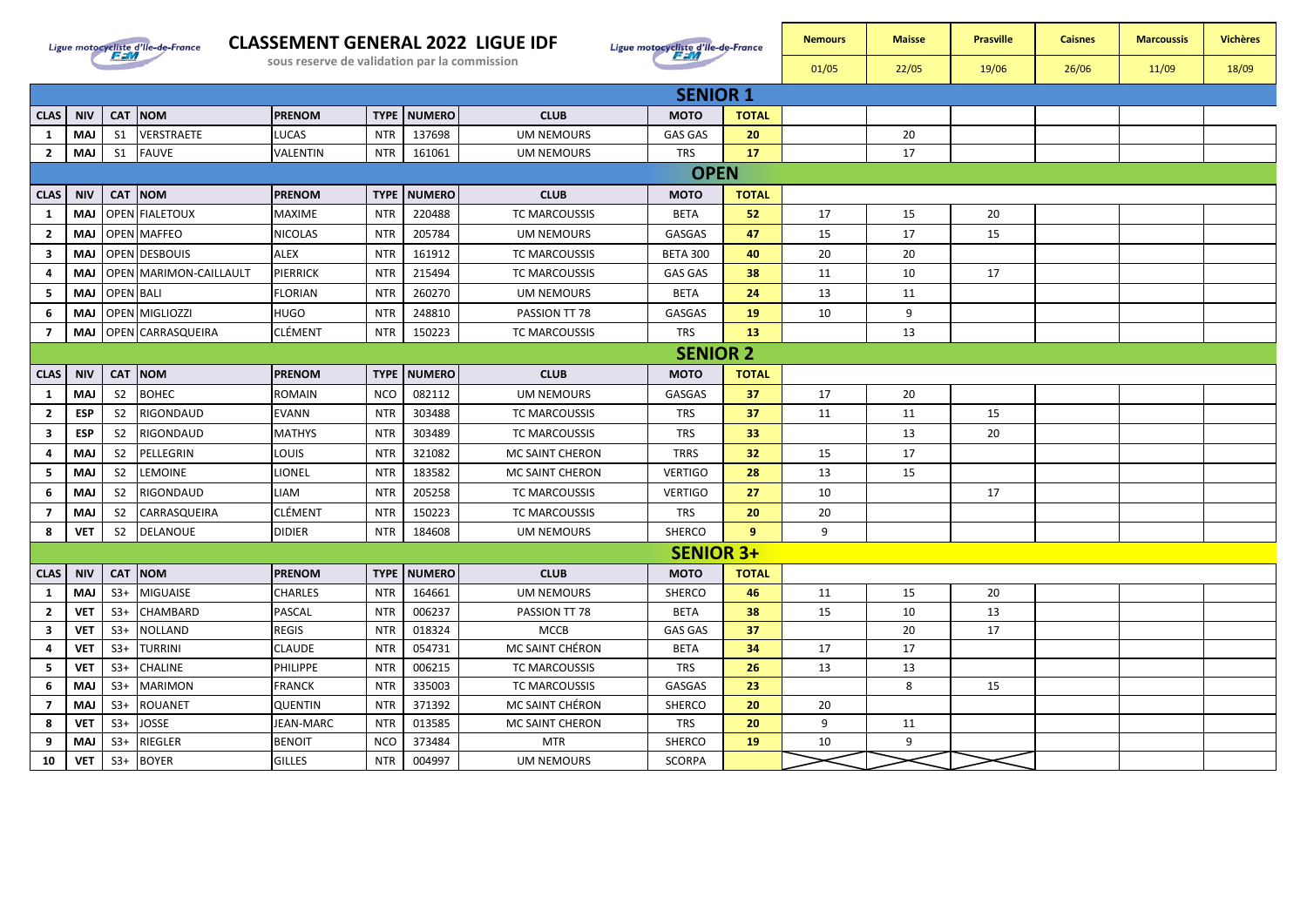

## **CLASSEMENT GENERAL 2022 LIGUE IDF**



|                 |        |                | Ligue motocycliste d'Ile-de-France | <b>CLASSEMENT GENERAL 2022 LIGUE IDF</b><br>sous reserve de validation par la commission |            |                        |                   | Ligue motocycliste d'Ile-de-France | <b>Nemours</b><br>01/05 | <b>Maisse</b><br>22/05 | <b>Prasville</b><br>19/06 | <b>Caisnes</b><br>26/06 | <b>Marcoussis</b><br>11/09 | <b>Vichères</b><br>18/09 |  |
|-----------------|--------|----------------|------------------------------------|------------------------------------------------------------------------------------------|------------|------------------------|-------------------|------------------------------------|-------------------------|------------------------|---------------------------|-------------------------|----------------------------|--------------------------|--|
| <b>SENIOR 1</b> |        |                |                                    |                                                                                          |            |                        |                   |                                    |                         |                        |                           |                         |                            |                          |  |
|                 | AS NIV |                | <b>CAT NOM</b>                     | <b>PRENOM</b>                                                                            |            | <b>TYPE   NUMERO  </b> | <b>CLUB</b>       | <b>MOTO</b>                        | <b>TOTAL</b>            |                        |                           |                         |                            |                          |  |
|                 | MAJ    | S <sub>1</sub> | <b>VERSTRAETE</b>                  | <b>LUCAS</b>                                                                             | <b>NTR</b> | 137698                 | <b>UM NEMOURS</b> | 20<br><b>GAS GAS</b>               |                         |                        | 20                        |                         |                            |                          |  |
|                 | MAJ    | S <sub>1</sub> | <b>FAUVE</b>                       | VALENTIN                                                                                 | <b>NTR</b> | 161061                 | <b>UM NEMOURS</b> | <b>TRS</b>                         | 17                      |                        | 17<br><b>L</b>            |                         |                            |                          |  |
|                 |        |                |                                    |                                                                                          |            |                        |                   | <b>OPFN</b>                        |                         |                        |                           |                         |                            |                          |  |

|                         |             |                  | 2   MAJ   S1   FAUVE   | VALENTIN       |             | NTR 161061           | UM NEMOURS        | TRS              | -17             |    | 17 |    |  |  |
|-------------------------|-------------|------------------|------------------------|----------------|-------------|----------------------|-------------------|------------------|-----------------|----|----|----|--|--|
|                         | <b>OPEN</b> |                  |                        |                |             |                      |                   |                  |                 |    |    |    |  |  |
| <b>CLAS</b>             | <b>NIV</b>  |                  | CAT NOM                | <b>PRENOM</b>  |             | <b>TYPE   NUMERO</b> | <b>CLUB</b>       | <b>MOTO</b>      | <b>TOTAL</b>    |    |    |    |  |  |
| $\mathbf{1}$            | MAJ         |                  | <b>OPEN FIALETOUX</b>  | MAXIME         | <b>NTR</b>  | 220488               | TC MARCOUSSIS     | <b>BETA</b>      | 52              | 17 | 15 | 20 |  |  |
| $\overline{2}$          | MAJ         |                  | <b>OPEN MAFFEO</b>     | <b>NICOLAS</b> | <b>NTR</b>  | 205784               | <b>UM NEMOURS</b> | GASGAS           | 47              | 15 | 17 | 15 |  |  |
| $\overline{\mathbf{3}}$ | <b>MAJ</b>  |                  | <b>OPEN DESBOUIS</b>   | <b>ALEX</b>    | <b>NTR</b>  | 161912               | TC MARCOUSSIS     | <b>BETA 300</b>  | 40              | 20 | 20 |    |  |  |
| 4                       | MAJ         |                  | OPEN MARIMON-CAILLAULT | PIERRICK       | <b>NTR</b>  | 215494               | TC MARCOUSSIS     | GAS GAS          | 38              | 11 | 10 | 17 |  |  |
| 5                       | MAJ         | <b>OPEN BALI</b> |                        | <b>FLORIAN</b> | <b>NTR</b>  | 260270               | <b>UM NEMOURS</b> | <b>BETA</b>      | 24              | 13 | 11 |    |  |  |
| 6                       | MAJ         |                  | OPEN MIGLIOZZI         | HUGO           | <b>NTR</b>  | 248810               | PASSION TT 78     | GASGAS           | 19              | 10 | 9  |    |  |  |
| $\overline{7}$          | <b>MAJ</b>  |                  | OPEN CARRASQUEIRA      | <b>CLÉMENT</b> | <b>NTR</b>  | 150223               | TC MARCOUSSIS     | <b>TRS</b>       | 13              |    | 13 |    |  |  |
| <b>SENIOR 2</b>         |             |                  |                        |                |             |                      |                   |                  |                 |    |    |    |  |  |
| <b>CLAS</b>             | <b>NIV</b>  |                  | CAT NOM                | <b>PRENOM</b>  | <b>TYPE</b> | <b>NUMERO</b>        | <b>CLUB</b>       | <b>MOTO</b>      | <b>TOTAL</b>    |    |    |    |  |  |
| $\mathbf{1}$            | <b>MAJ</b>  | S <sub>2</sub>   | <b>BOHEC</b>           | ROMAIN         | <b>NCO</b>  | 082112               | <b>UM NEMOURS</b> | GASGAS           | 37              | 17 | 20 |    |  |  |
| $\overline{2}$          | <b>ESP</b>  | S <sub>2</sub>   | RIGONDAUD              | <b>EVANN</b>   | <b>NTR</b>  | 303488               | TC MARCOUSSIS     | <b>TRS</b>       | 37              | 11 | 11 | 15 |  |  |
| $\overline{\mathbf{3}}$ | <b>ESP</b>  | S <sub>2</sub>   | RIGONDAUD              | <b>MATHYS</b>  | <b>NTR</b>  | 303489               | TC MARCOUSSIS     | <b>TRS</b>       | 33              |    | 13 | 20 |  |  |
| -4                      | <b>MAJ</b>  | S <sub>2</sub>   | PELLEGRIN              | LOUIS          | <b>NTR</b>  | 321082               | MC SAINT CHERON   | <b>TRRS</b>      | 32 <sub>2</sub> | 15 | 17 |    |  |  |
| -5                      | MAJ         | S <sub>2</sub>   | <b>LEMOINE</b>         | LIONEL         | <b>NTR</b>  | 183582               | MC SAINT CHERON   | <b>VERTIGO</b>   | 28              | 13 | 15 |    |  |  |
| 6                       | MAJ         | S <sub>2</sub>   | RIGONDAUD              | LIAM           | <b>NTR</b>  | 205258               | TC MARCOUSSIS     | <b>VERTIGO</b>   | 27              | 10 |    | 17 |  |  |
| $\overline{7}$          | <b>MAJ</b>  | S <sub>2</sub>   | CARRASQUEIRA           | CLÉMENT        | <b>NTR</b>  | 150223               | TC MARCOUSSIS     | <b>TRS</b>       | 20              | 20 |    |    |  |  |
| 8                       | <b>VET</b>  | S <sub>2</sub>   | DELANOUE               | <b>DIDIER</b>  | <b>NTR</b>  | 184608               | <b>UM NEMOURS</b> | <b>SHERCO</b>    | $\overline{9}$  | 9  |    |    |  |  |
|                         |             |                  |                        |                |             |                      |                   | <b>SENIOR 3+</b> |                 |    |    |    |  |  |
| <b>CLAS</b>             | <b>NIV</b>  |                  | CAT NOM                | <b>PRENOM</b>  | <b>TYPE</b> | <b>NUMERO</b>        | <b>CLUB</b>       | <b>MOTO</b>      | <b>TOTAL</b>    |    |    |    |  |  |
| 1                       | <b>MAJ</b>  | $S3+$            | <b>MIGUAISE</b>        | CHARLES        | <b>NTR</b>  | 164661               | <b>UM NEMOURS</b> | SHERCO           | 46              | 11 | 15 | 20 |  |  |
| $\overline{2}$          | <b>VET</b>  | $S3+$            | CHAMBARD               | PASCAL         | <b>NTR</b>  | 006237               | PASSION TT 78     | <b>BETA</b>      | 38              | 15 | 10 | 13 |  |  |
| $\overline{\mathbf{3}}$ | <b>VET</b>  | $S3+$            | <b>NOLLAND</b>         | <b>REGIS</b>   | <b>NTR</b>  | 018324               | <b>MCCB</b>       | <b>GAS GAS</b>   | 37              |    | 20 | 17 |  |  |
| 4                       | <b>VET</b>  | $S3+$            | <b>TURRINI</b>         | <b>CLAUDE</b>  | <b>NTR</b>  | 054731               | MC SAINT CHÉRON   | <b>BETA</b>      | 34              | 17 | 17 |    |  |  |
| 5                       | <b>VET</b>  | $S3+$            | <b>CHALINE</b>         | PHILIPPE       | <b>NTR</b>  | 006215               | TC MARCOUSSIS     | <b>TRS</b>       | 26              | 13 | 13 |    |  |  |
| 6                       | <b>MAJ</b>  | $S3+$            | <b>MARIMON</b>         | <b>FRANCK</b>  | <b>NTR</b>  | 335003               | TC MARCOUSSIS     | GASGAS           | 23              |    | 8  | 15 |  |  |
| $\overline{7}$          | <b>MAJ</b>  | $S3+$            | <b>ROUANET</b>         | <b>QUENTIN</b> | <b>NTR</b>  | 371392               | MC SAINT CHÉRON   | SHERCO           | 20              | 20 |    |    |  |  |
| 8                       | <b>VET</b>  | $S3+$            | <b>JOSSE</b>           | JEAN-MARC      | <b>NTR</b>  | 013585               | MC SAINT CHERON   | <b>TRS</b>       | 20              | 9  | 11 |    |  |  |
| 9                       | <b>MAJ</b>  | $S3+$            | RIEGLER                | <b>BENOIT</b>  | <b>NCO</b>  | 373484               | <b>MTR</b>        | SHERCO           | 19              | 10 | 9  |    |  |  |
| 10                      | <b>VET</b>  | $S3+$            | <b>BOYER</b>           | <b>GILLES</b>  | <b>NTR</b>  | 004997               | UM NEMOURS        | <b>SCORPA</b>    |                 |    |    |    |  |  |